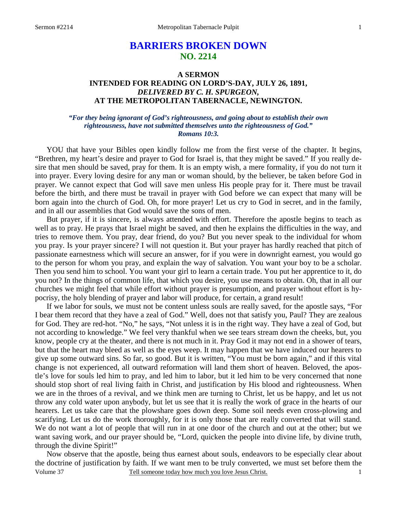# **BARRIERS BROKEN DOWN NO. 2214**

# **A SERMON INTENDED FOR READING ON LORD'S-DAY, JULY 26, 1891,**  *DELIVERED BY C. H. SPURGEON,*  **AT THE METROPOLITAN TABERNACLE, NEWINGTON.**

### *"For they being ignorant of God's righteousness, and going about to establish their own righteousness, have not submitted themselves unto the righteousness of God." Romans 10:3.*

 YOU that have your Bibles open kindly follow me from the first verse of the chapter. It begins, "Brethren, my heart's desire and prayer to God for Israel is, that they might be saved." If you really desire that men should be saved, pray for them. It is an empty wish, a mere formality, if you do not turn it into prayer. Every loving desire for any man or woman should, by the believer, be taken before God in prayer. We cannot expect that God will save men unless His people pray for it. There must be travail before the birth, and there must be travail in prayer with God before we can expect that many will be born again into the church of God. Oh, for more prayer! Let us cry to God in secret, and in the family, and in all our assemblies that God would save the sons of men.

 But prayer, if it is sincere, is always attended with effort. Therefore the apostle begins to teach as well as to pray. He prays that Israel might be saved, and then he explains the difficulties in the way, and tries to remove them. You pray, dear friend, do you? But you never speak to the individual for whom you pray. Is your prayer sincere? I will not question it. But your prayer has hardly reached that pitch of passionate earnestness which will secure an answer, for if you were in downright earnest, you would go to the person for whom you pray, and explain the way of salvation. You want your boy to be a scholar. Then you send him to school. You want your girl to learn a certain trade. You put her apprentice to it, do you not? In the things of common life, that which you desire, you use means to obtain. Oh, that in all our churches we might feel that while effort without prayer is presumption, and prayer without effort is hypocrisy, the holy blending of prayer and labor will produce, for certain, a grand result!

 If we labor for souls, we must not be content unless souls are really saved, for the apostle says, "For I bear them record that they have a zeal of God." Well, does not that satisfy you, Paul? They are zealous for God. They are red-hot. "No," he says, "Not unless it is in the right way. They have a zeal of God, but not according to knowledge." We feel very thankful when we see tears stream down the cheeks, but, you know, people cry at the theater, and there is not much in it. Pray God it may not end in a shower of tears, but that the heart may bleed as well as the eyes weep. It may happen that we have induced our hearers to give up some outward sins. So far, so good. But it is written, "You must be born again," and if this vital change is not experienced, all outward reformation will land them short of heaven. Beloved, the apostle's love for souls led him to pray, and led him to labor, but it led him to be very concerned that none should stop short of real living faith in Christ, and justification by His blood and righteousness. When we are in the throes of a revival, and we think men are turning to Christ, let us be happy, and let us not throw any cold water upon anybody, but let us see that it is really the work of grace in the hearts of our hearers. Let us take care that the plowshare goes down deep. Some soil needs even cross-plowing and scarifying. Let us do the work thoroughly, for it is only those that are really converted that will stand. We do not want a lot of people that will run in at one door of the church and out at the other; but we want saving work, and our prayer should be, "Lord, quicken the people into divine life, by divine truth, through the divine Spirit!"

Volume 37 Tell someone today how much you love Jesus Christ. Now observe that the apostle, being thus earnest about souls, endeavors to be especially clear about the doctrine of justification by faith. If we want men to be truly converted, we must set before them the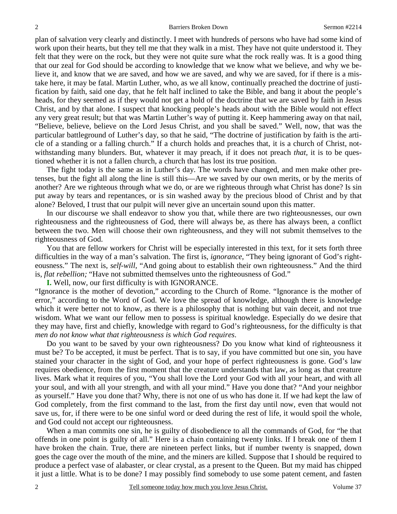plan of salvation very clearly and distinctly. I meet with hundreds of persons who have had some kind of work upon their hearts, but they tell me that they walk in a mist. They have not quite understood it. They felt that they were on the rock, but they were not quite sure what the rock really was. It is a good thing that our zeal for God should be according to knowledge that we know what we believe, and why we believe it, and know that we are saved, and how we are saved, and why we are saved, for if there is a mistake here, it may be fatal. Martin Luther, who, as we all know, continually preached the doctrine of justification by faith, said one day, that he felt half inclined to take the Bible, and bang it about the people's heads, for they seemed as if they would not get a hold of the doctrine that we are saved by faith in Jesus Christ, and by that alone. I suspect that knocking people's heads about with the Bible would not effect any very great result; but that was Martin Luther's way of putting it. Keep hammering away on that nail, "Believe, believe, believe on the Lord Jesus Christ, and you shall be saved." Well, now, that was the particular battleground of Luther's day, so that he said, "The doctrine of justification by faith is the article of a standing or a falling church." If a church holds and preaches that, it is a church of Christ, notwithstanding many blunders. But, whatever it may preach, if it does not preach *that,* it is to be questioned whether it is not a fallen church, a church that has lost its true position.

 The fight today is the same as in Luther's day. The words have changed, and men make other pretenses, but the fight all along the line is still this—Are we saved by our own merits, or by the merits of another? Are we righteous through what we do, or are we righteous through what Christ has done? Is sin put away by tears and repentances, or is sin washed away by the precious blood of Christ and by that alone? Beloved, I trust that our pulpit will never give an uncertain sound upon this matter.

 In our discourse we shall endeavor to show you that, while there are two righteousnesses, our own righteousness and the righteousness of God, there will always be, as there has always been, a conflict between the two. Men will choose their own righteousness, and they will not submit themselves to the righteousness of God.

 You that are fellow workers for Christ will be especially interested in this text, for it sets forth three difficulties in the way of a man's salvation. The first is, *ignorance,* "They being ignorant of God's righteousness." The next is, *self-will,* "And going about to establish their own righteousness." And the third is, *flat rebellion;* "Have not submitted themselves unto the righteousness of God."

**I.** Well, now, our first difficulty is with IGNORANCE.

"Ignorance is the mother of devotion," according to the Church of Rome. "Ignorance is the mother of error," according to the Word of God. We love the spread of knowledge, although there is knowledge which it were better not to know, as there is a philosophy that is nothing but vain deceit, and not true wisdom. What we want our fellow men to possess is spiritual knowledge. Especially do we desire that they may have, first and chiefly, knowledge with regard to God's righteousness, for the difficulty is that *men do not know what that righteousness is which God requires*.

 Do you want to be saved by your own righteousness? Do you know what kind of righteousness it must be? To be accepted, it must be perfect. That is to say, if you have committed but one sin, you have stained your character in the sight of God, and your hope of perfect righteousness is gone. God's law requires obedience, from the first moment that the creature understands that law, as long as that creature lives. Mark what it requires of you, "You shall love the Lord your God with all your heart, and with all your soul, and with all your strength, and with all your mind." Have you done that? "And your neighbor as yourself." Have you done that? Why, there is not one of us who has done it. If we had kept the law of God completely, from the first command to the last, from the first day until now, even that would not save us, for, if there were to be one sinful word or deed during the rest of life, it would spoil the whole, and God could not accept our righteousness.

 When a man commits one sin, he is guilty of disobedience to all the commands of God, for "he that offends in one point is guilty of all." Here is a chain containing twenty links. If I break one of them I have broken the chain. True, there are nineteen perfect links, but if number twenty is snapped, down goes the cage over the mouth of the mine, and the miners are killed. Suppose that I should be required to produce a perfect vase of alabaster, or clear crystal, as a present to the Queen. But my maid has chipped it just a little. What is to be done? I may possibly find somebody to use some patent cement, and fasten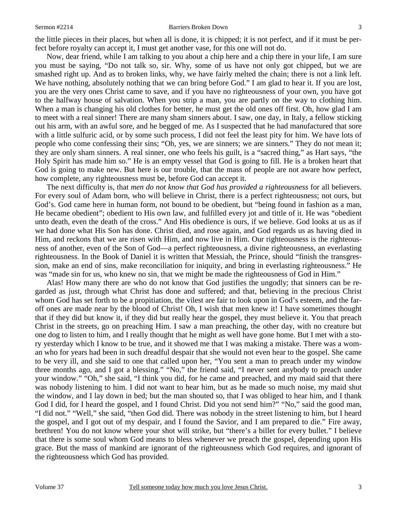#### Sermon #2214 Barriers Broken Down 3

the little pieces in their places, but when all is done, it is chipped; it is not perfect, and if it must be perfect before royalty can accept it, I must get another vase, for this one will not do.

 Now, dear friend, while I am talking to you about a chip here and a chip there in your life, I am sure you must be saying, "Do not talk so, sir. Why, some of us have not only got chipped, but we are smashed right up. And as to broken links, why, we have fairly melted the chain; there is not a link left. We have nothing, absolutely nothing that we can bring before God." I am glad to hear it. If you are lost, you are the very ones Christ came to save, and if you have no righteousness of your own, you have got to the halfway house of salvation. When you strip a man, you are partly on the way to clothing him. When a man is changing his old clothes for better, he must get the old ones off first. Oh, how glad I am to meet with a real sinner! There are many sham sinners about. I saw, one day, in Italy, a fellow sticking out his arm, with an awful sore, and he begged of me. As I suspected that he had manufactured that sore with a little sulfuric acid, or by some such process, I did not feel the least pity for him. We have lots of people who come confessing their sins; "Oh, yes, we are sinners; we are sinners." They do not mean it; they are only sham sinners. A real sinner, one who feels his guilt, is a "sacred thing," as Hart says, "the Holy Spirit has made him so." He is an empty vessel that God is going to fill. He is a broken heart that God is going to make new. But here is our trouble, that the mass of people are not aware how perfect, how complete, any righteousness must be, before God can accept it.

 The next difficulty is, that *men do not know that God has provided a righteousness* for all believers. For every soul of Adam born, who will believe in Christ, there is a perfect righteousness; not ours, but God's. God came here in human form, not bound to be obedient, but "being found in fashion as a man, He became obedient"; obedient to His own law, and fulfilled every jot and tittle of it. He was "obedient unto death, even the death of the cross." And His obedience is ours, if we believe. God looks at us as if we had done what His Son has done. Christ died, and rose again, and God regards us as having died in Him, and reckons that we are risen with Him, and now live in Him. Our righteousness is the righteousness of another, even of the Son of God—a perfect righteousness, a divine righteousness, an everlasting righteousness. In the Book of Daniel it is written that Messiah, the Prince, should "finish the transgression, make an end of sins, make reconciliation for iniquity, and bring in everlasting righteousness." He was "made sin for us, who knew no sin, that we might be made the righteousness of God in Him."

 Alas! How many there are who do not know that God justifies the ungodly; that sinners can be regarded as just, through what Christ has done and suffered; and that, believing in the precious Christ whom God has set forth to be a propitiation, the vilest are fair to look upon in God's esteem, and the faroff ones are made near by the blood of Christ! Oh, I wish that men knew it! I have sometimes thought that if they did but know it, if they did but really hear the gospel, they must believe it. You that preach Christ in the streets, go on preaching Him. I saw a man preaching, the other day, with no creature but one dog to listen to him, and I really thought that he might as well have gone home. But I met with a story yesterday which I know to be true, and it showed me that I was making a mistake. There was a woman who for years had been in such dreadful despair that she would not even hear to the gospel. She came to be very ill, and she said to one that called upon her, "You sent a man to preach under my window three months ago, and I got a blessing." "No," the friend said, "I never sent anybody to preach under your window." "Oh," she said, "I think you did, for he came and preached, and my maid said that there was nobody listening to him. I did not want to hear him, but as he made so much noise, my maid shut the window, and I lay down in bed; but the man shouted so, that I was obliged to hear him, and I thank God I did, for I heard the gospel, and I found Christ. Did you not send him?" "No," said the good man, "I did not." "Well," she said, "then God did. There was nobody in the street listening to him, but I heard the gospel, and I got out of my despair, and I found the Savior, and I am prepared to die." Fire away, brethren! You do not know where your shot will strike, but "there's a billet for every bullet." I believe that there is some soul whom God means to bless whenever we preach the gospel, depending upon His grace. But the mass of mankind are ignorant of the righteousness which God requires, and ignorant of the righteousness which God has provided.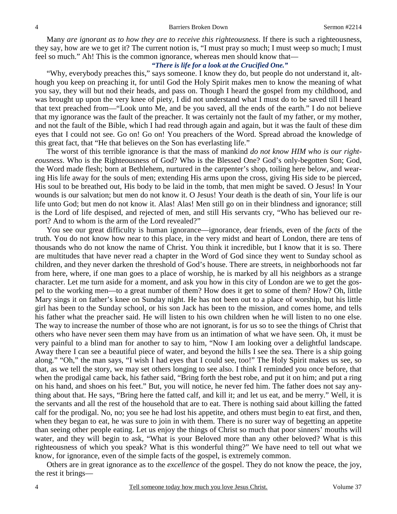Many *are ignorant as to how they are to receive this righteousness*. If there is such a righteousness, they say, how are we to get it? The current notion is, "I must pray so much; I must weep so much; I must feel so much." Ah! This is the common ignorance, whereas men should know that—

### *"There is life for a look at the Crucified One."*

 "Why, everybody preaches this," says someone. I know they do, but people do not understand it, although you keep on preaching it, for until God the Holy Spirit makes men to know the meaning of what you say, they will but nod their heads, and pass on. Though I heard the gospel from my childhood, and was brought up upon the very knee of piety, I did not understand what I must do to be saved till I heard that text preached from—"Look unto Me, and be you saved, all the ends of the earth." I do not believe that my ignorance was the fault of the preacher. It was certainly not the fault of my father, or my mother, and not the fault of the Bible, which I had read through again and again, but it was the fault of these dim eyes that I could not see. Go on! Go on! You preachers of the Word. Spread abroad the knowledge of this great fact, that "He that believes on the Son has everlasting life."

 The worst of this terrible ignorance is that the mass of mankind *do not know HIM who is our righteousness*. Who is the Righteousness of God? Who is the Blessed One? God's only-begotten Son; God, the Word made flesh; born at Bethlehem, nurtured in the carpenter's shop, toiling here below, and wearing His life away for the souls of men; extending His arms upon the cross, giving His side to be pierced, His soul to be breathed out, His body to be laid in the tomb, that men might be saved. O Jesus! In Your wounds is our salvation; but men do not know it. O Jesus! Your death is the death of sin, Your life is our life unto God; but men do not know it. Alas! Alas! Men still go on in their blindness and ignorance; still is the Lord of life despised, and rejected of men, and still His servants cry, "Who has believed our report? And to whom is the arm of the Lord revealed?"

 You see our great difficulty is human ignorance—ignorance, dear friends, even of the *facts* of the truth. You do not know how near to this place, in the very midst and heart of London, there are tens of thousands who do not know the name of Christ. You think it incredible, but I know that it is so. There are multitudes that have never read a chapter in the Word of God since they went to Sunday school as children, and they never darken the threshold of God's house. There are streets, in neighborhoods not far from here, where, if one man goes to a place of worship, he is marked by all his neighbors as a strange character. Let me turn aside for a moment, and ask you how in this city of London are we to get the gospel to the working men—to a great number of them? How does it get to some of them? How? Oh, little Mary sings it on father's knee on Sunday night. He has not been out to a place of worship, but his little girl has been to the Sunday school, or his son Jack has been to the mission, and comes home, and tells his father what the preacher said. He will listen to his own children when he will listen to no one else. The way to increase the number of those who are not ignorant, is for us so to see the things of Christ that others who have never seen them may have from us an intimation of what we have seen. Oh, it must be very painful to a blind man for another to say to him, "Now I am looking over a delightful landscape. Away there I can see a beautiful piece of water, and beyond the hills I see the sea. There is a ship going along." "Oh," the man says, "I wish I had eyes that I could see, too!" The Holy Spirit makes us see, so that, as we tell the story, we may set others longing to see also. I think I reminded you once before, that when the prodigal came back, his father said, "Bring forth the best robe, and put it on him; and put a ring on his hand, and shoes on his feet." But, you will notice, he never fed him. The father does not say anything about that. He says, "Bring here the fatted calf, and kill it; and let us eat, and be merry." Well, it is the servants and all the rest of the household that are to eat. There is nothing said about killing the fatted calf for the prodigal. No, no; you see he had lost his appetite, and others must begin to eat first, and then, when they began to eat, he was sure to join in with them. There is no surer way of begetting an appetite than seeing other people eating. Let us enjoy the things of Christ so much that poor sinners' mouths will water, and they will begin to ask, "What is your Beloved more than any other beloved? What is this righteousness of which you speak? What is this wonderful thing?" We have need to tell out what we know, for ignorance, even of the simple facts of the gospel, is extremely common.

 Others are in great ignorance as to the *excellence* of the gospel. They do not know the peace, the joy, the rest it brings—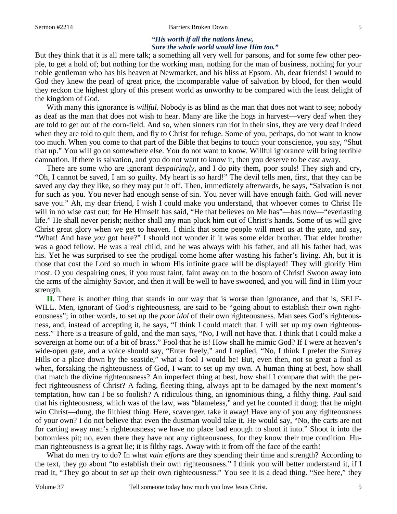#### Sermon #2214 **Barriers Broken Down** 5

### *"His worth if all the nations knew, Sure the whole world would love Him too."*

But they think that it is all mere talk; a something all very well for parsons, and for some few other people, to get a hold of; but nothing for the working man, nothing for the man of business, nothing for your noble gentleman who has his heaven at Newmarket, and his bliss at Epsom. Ah, dear friends! I would to God they knew the pearl of great price, the incomparable value of salvation by blood, for then would they reckon the highest glory of this present world as unworthy to be compared with the least delight of the kingdom of God.

 With many this ignorance is *willful*. Nobody is as blind as the man that does not want to see; nobody as deaf as the man that does not wish to hear. Many are like the hogs in harvest—very deaf when they are told to get out of the corn-field. And so, when sinners run riot in their sins, they are very deaf indeed when they are told to quit them, and fly to Christ for refuge. Some of you, perhaps, do not want to know too much. When you come to that part of the Bible that begins to touch your conscience, you say, "Shut that up." You will go on somewhere else. You do not want to know. Willful ignorance will bring terrible damnation. If there is salvation, and you do not want to know it, then you deserve to be cast away.

 There are some who are ignorant *despairingly,* and I do pity them, poor souls! They sigh and cry, "Oh, I cannot be saved, I am so guilty. My heart is so hard!" The devil tells men, first, that they can be saved any day they like, so they may put it off. Then, immediately afterwards, he says, "Salvation is not for such as you. You never had enough sense of sin. You never will have enough faith. God will never save you." Ah, my dear friend, I wish I could make you understand, that whoever comes to Christ He will in no wise cast out; for He Himself has said, "He that believes on Me has"—has now—"everlasting life." He shall never perish; neither shall any man pluck him out of Christ's hands. Some of us will give Christ great glory when we get to heaven. I think that some people will meet us at the gate, and say, "What! And have *you* got here?" I should not wonder if it was some elder brother. That elder brother was a good fellow. He was a real child, and he was always with his father, and all his father had, was his. Yet he was surprised to see the prodigal come home after wasting his father's living. Ah, but it is those that cost the Lord so much in whom His infinite grace will be displayed! They will glorify Him most. O you despairing ones, if you must faint, faint away on to the bosom of Christ! Swoon away into the arms of the almighty Savior, and then it will be well to have swooned, and you will find in Him your strength.

**II.** There is another thing that stands in our way that is worse than ignorance, and that is, SELF-WILL. Men, ignorant of God's righteousness, are said to be "going about to establish their own righteousness"; in other words, to set up the *poor idol* of their own righteousness. Man sees God's righteousness, and, instead of accepting it, he says, "I think I could match that. I will set up my own righteousness." There is a treasure of gold, and the man says, "No, I will not have that. I think that I could make a sovereign at home out of a bit of brass." Fool that he is! How shall he mimic God? If I were at heaven's wide-open gate, and a voice should say, "Enter freely," and I replied, "No, I think I prefer the Surrey Hills or a place down by the seaside," what a fool I would be! But, even then, not so great a fool as when, forsaking the righteousness of God, I want to set up my own. A human thing at best, how shall that match the divine righteousness? An imperfect thing at best, how shall I compare that with the perfect righteousness of Christ? A fading, fleeting thing, always apt to be damaged by the next moment's temptation, how can I be so foolish? A ridiculous thing, an ignominious thing, a filthy thing. Paul said that his righteousness, which was of the law, was "blameless," and yet he counted it dung; that he might win Christ—dung, the filthiest thing. Here, scavenger, take it away! Have any of you any righteousness of your own? I do not believe that even the dustman would take it. He would say, "No, the carts are not for carting away man's righteousness; we have no place bad enough to shoot it into." Shoot it into the bottomless pit; no, even there they have not any righteousness, for they know their true condition. Human righteousness is a great lie; it is filthy rags. Away with it from off the face of the earth!

 What do men try to do? In what *vain efforts* are they spending their time and strength? According to the text, they go about "to establish their own righteousness." I think you will better understand it, if I read it, "They go about to *set up* their own righteousness." You see it is a dead thing. "See here," they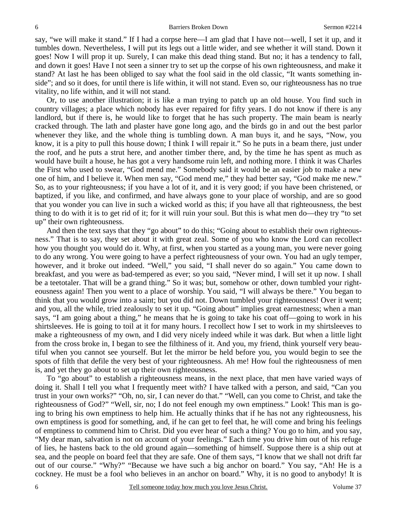say, "we will make it stand." If I had a corpse here—I am glad that I have not—well, I set it up, and it tumbles down. Nevertheless, I will put its legs out a little wider, and see whether it will stand. Down it goes! Now I will prop it up. Surely, I can make this dead thing stand. But no; it has a tendency to fall, and down it goes! Have I not seen a sinner try to set up the corpse of his own righteousness, and make it stand? At last he has been obliged to say what the fool said in the old classic, "It wants something inside"; and so it does, for until there is life within, it will not stand. Even so, our righteousness has no true vitality, no life within, and it will not stand.

 Or, to use another illustration; it is like a man trying to patch up an old house. You find such in country villages; a place which nobody has ever repaired for fifty years. I do not know if there is any landlord, but if there is, he would like to forget that he has such property. The main beam is nearly cracked through. The lath and plaster have gone long ago, and the birds go in and out the best parlor whenever they like, and the whole thing is tumbling down. A man buys it, and he says, "Now, you know, it is a pity to pull this house down; I think I will repair it." So he puts in a beam there, just under the roof, and he puts a strut here, and another timber there, and, by the time he has spent as much as would have built a house, he has got a very handsome ruin left, and nothing more. I think it was Charles the First who used to swear, "God mend me." Somebody said it would be an easier job to make a new one of him, and I believe it. When men say, "God mend me," they had better say, "God make me new." So, as to your righteousness; if you have a lot of it, and it is very good; if you have been christened, or baptized, if you like, and confirmed, and have always gone to your place of worship, and are so good that you wonder you can live in such a wicked world as this; if you have all that righteousness, the best thing to do with it is to get rid of it; for it will ruin your soul. But this is what men do—they try "to set up" their own righteousness.

 And then the text says that they "go about" to do this; "Going about to establish their own righteousness." That is to say, they set about it with great zeal. Some of you who know the Lord can recollect how you thought you would do it. Why, at first, when you started as a young man, you were never going to do any wrong. You were going to have a perfect righteousness of your own. You had an ugly temper, however, and it broke out indeed. "Well," you said, "I shall never do so again." You came down to breakfast, and you were as bad-tempered as ever; so you said, "Never mind, I will set it up now. I shall be a teetotaler. That will be a grand thing." So it was; but, somehow or other, down tumbled your righteousness again! Then you went to a place of worship. You said, "I will always be there." You began to think that you would grow into a saint; but you did not. Down tumbled your righteousness! Over it went; and you, all the while, tried zealously to set it up. "Going about" implies great earnestness; when a man says, "I am going about a thing," he means that he is going to take his coat off—going to work in his shirtsleeves. He is going to toil at it for many hours. I recollect how I set to work in my shirtsleeves to make a righteousness of my own, and I did very nicely indeed while it was dark. But when a little light from the cross broke in, I began to see the filthiness of it. And you, my friend, think yourself very beautiful when you cannot see yourself. But let the mirror be held before you, you would begin to see the spots of filth that defile the very best of your righteousness. Ah me! How foul the righteousness of men is, and yet they go about to set up their own righteousness.

 To "go about" to establish a righteousness means, in the next place, that men have varied ways of doing it. Shall I tell you what I frequently meet with? I have talked with a person, and said, "Can you trust in your own works?" "Oh, no, sir, I can never do that." "Well, can you come to Christ, and take the righteousness of God?" "Well, sir, no; I do not feel enough my own emptiness." Look! This man is going to bring his own emptiness to help him. He actually thinks that if he has not any righteousness, his own emptiness is good for something, and, if he can get to feel that, he will come and bring his feelings of emptiness to commend him to Christ. Did you ever hear of such a thing? You go to him, and you say, "My dear man, salvation is not on account of your feelings." Each time you drive him out of his refuge of lies, he hastens back to the old ground again—something of himself. Suppose there is a ship out at sea, and the people on board feel that they are safe. One of them says, "I know that we shall not drift far out of our course." "Why?" "Because we have such a big anchor on board." You say, "Ah! He is a cockney. He must be a fool who believes in an anchor on board." Why, it is no good to anybody! It is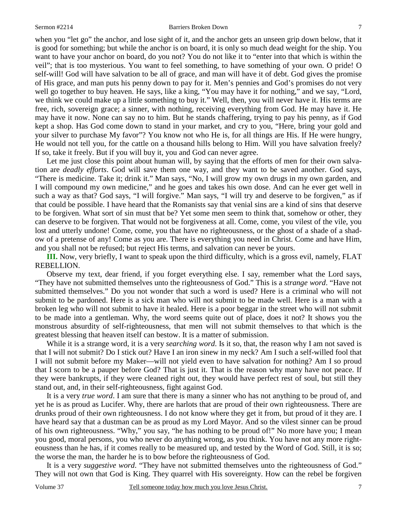#### Sermon #2214 Barriers Broken Down 7

when you "let go" the anchor, and lose sight of it, and the anchor gets an unseen grip down below, that it is good for something; but while the anchor is on board, it is only so much dead weight for the ship. You want to have your anchor on board, do you not? You do not like it to "enter into that which is within the veil"; that is too mysterious. You want to feel something, to have something of your own. O pride! O self-will! God will have salvation to be all of grace, and man will have it of debt. God gives the promise of His grace, and man puts his penny down to pay for it. Men's pennies and God's promises do not very well go together to buy heaven. He says, like a king, "You may have it for nothing," and we say, "Lord, we think we could make up a little something to buy it." Well, then, you will never have it. His terms are free, rich, sovereign grace; a sinner, with nothing, receiving everything from God. He may have it. He may have it now. None can say no to him. But he stands chaffering, trying to pay his penny, as if God kept a shop. Has God come down to stand in your market, and cry to you, "Here, bring your gold and your silver to purchase My favor"? You know not who He is, for all things are His. If He were hungry, He would not tell you, for the cattle on a thousand hills belong to Him. Will you have salvation freely? If so, take it freely. But if you will buy it, you and God can never agree.

Let me just close this point about human will, by saying that the efforts of men for their own salvation are *deadly efforts*. God will save them one way, and they want to be saved another. God says, "There is medicine. Take it; drink it." Man says, "No, I will grow my own drugs in my own garden, and I will compound my own medicine," and he goes and takes his own dose. And can he ever get well in such a way as that? God says, "I will forgive." Man says, "I will try and deserve to be forgiven," as if that could be possible. I have heard that the Romanists say that venial sins are a kind of sins that deserve to be forgiven. What sort of sin must that be? Yet some men seem to think that, somehow or other, they can deserve to be forgiven. That would not be forgiveness at all. Come, come, you vilest of the vile, you lost and utterly undone! Come, come, you that have no righteousness, or the ghost of a shade of a shadow of a pretense of any! Come as you are. There is everything you need in Christ. Come and have Him, and you shall not be refused; but reject His terms, and salvation can never be yours.

**III.** Now, very briefly, I want to speak upon the third difficulty, which is a gross evil, namely, FLAT REBELLION.

 Observe my text, dear friend, if you forget everything else. I say, remember what the Lord says, "They have not submitted themselves unto the righteousness of God." This is a *strange word*. "Have not submitted themselves." Do you not wonder that such a word is used? Here is a criminal who will not submit to be pardoned. Here is a sick man who will not submit to be made well. Here is a man with a broken leg who will not submit to have it healed. Here is a poor beggar in the street who will not submit to be made into a gentleman. Why, the word seems quite out of place, does it not? It shows you the monstrous absurdity of self-righteousness, that men will not submit themselves to that which is the greatest blessing that heaven itself can bestow. It is a matter of submission.

 While it is a strange word, it is a very *searching word*. Is it so, that, the reason why I am not saved is that I will not submit? Do I stick out? Have I an iron sinew in my neck? Am I such a self-willed fool that I will not submit before my Maker—will not yield even to have salvation for nothing? Am I so proud that I scorn to be a pauper before God? That is just it. That is the reason why many have not peace. If they were bankrupts, if they were cleaned right out, they would have perfect rest of soul, but still they stand out, and, in their self-righteousness, fight against God.

 It is a very *true word*. I am sure that there is many a sinner who has not anything to be proud of, and yet he is as proud as Lucifer. Why, there are harlots that are proud of their own righteousness. There are drunks proud of their own righteousness. I do not know where they get it from, but proud of it they are. I have heard say that a dustman can be as proud as my Lord Mayor. And so the vilest sinner can be proud of his own righteousness. "Why," you say, "he has nothing to be proud of!" No more have you; I mean you good, moral persons, you who never do anything wrong, as you think. You have not any more righteousness than he has, if it comes really to be measured up, and tested by the Word of God. Still, it is so; the worse the man, the harder he is to bow before the righteousness of God.

 It is a very *suggestive word*. "They have not submitted themselves unto the righteousness of God." They will not own that God is King. They quarrel with His sovereignty. How can the rebel be forgiven